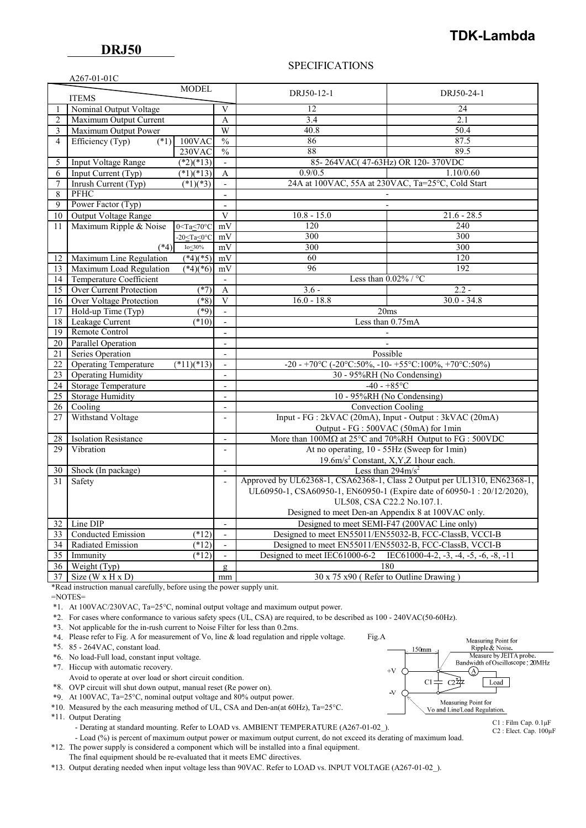$A267-01-01C$ 

## SPECIFICATIONS

|                              | $A201-01-01C$                                                                        |                           |                          |                                                                                 |                                                        |
|------------------------------|--------------------------------------------------------------------------------------|---------------------------|--------------------------|---------------------------------------------------------------------------------|--------------------------------------------------------|
| <b>MODEL</b><br><b>ITEMS</b> |                                                                                      |                           |                          | DRJ50-12-1                                                                      | DRJ50-24-1                                             |
|                              | Nominal Output Voltage                                                               |                           |                          | 12                                                                              | 24                                                     |
| $\overline{2}$               | Maximum Output Current                                                               |                           | A                        | 3.4                                                                             | 2.1                                                    |
| 3                            | Maximum Output Power                                                                 |                           | W                        | 40.8                                                                            | 50.4                                                   |
| $\overline{4}$               | Efficiency (Typ)<br>$(*1)$                                                           | $100$ VAC                 | $\frac{0}{0}$            | 86                                                                              | 87.5                                                   |
|                              |                                                                                      | $230$ VAC                 | $\frac{0}{0}$            | 88                                                                              | 89.5                                                   |
| 5                            | <b>Input Voltage Range</b>                                                           | $(*2)(*13)$               | $\overline{\phantom{a}}$ | 85-264VAC(47-63Hz) OR 120-370VDC                                                |                                                        |
| 6                            | Input Current (Typ)                                                                  | $(*1)(*13)$               | A                        | 0.9/0.5                                                                         | 1.10/0.60                                              |
| 7                            | Inrush Current (Typ)                                                                 | $(*1)(*3)$                | $\overline{a}$           | 24A at 100VAC, 55A at 230VAC, Ta=25°C, Cold Start                               |                                                        |
| 8                            | PFHC                                                                                 |                           |                          |                                                                                 |                                                        |
| $\mathbf{Q}$                 | Power Factor (Typ)                                                                   |                           | $\overline{a}$           |                                                                                 |                                                        |
| 10                           | <b>Output Voltage Range</b>                                                          |                           | V                        | $10.8 - 15.0$                                                                   | $21.6 - 28.5$                                          |
| 11                           | Maximum Ripple & Noise                                                               | $0 < Ta \leq 70^{\circ}C$ | mV                       | 120                                                                             | 240                                                    |
|                              |                                                                                      | $-20 <$ Ta $< 0$ °C       | mV                       | 300                                                                             | 300                                                    |
|                              | $(*4)$                                                                               | Io $\leq$ 30%             | mV                       | 300                                                                             | 300                                                    |
| 12                           | Maximum Line Regulation                                                              | $(*4)(*5)$                | mV                       | 60                                                                              | 120                                                    |
| 13                           | Maximum Load Regulation                                                              | $(*4)(*6)$                | mV                       | 96                                                                              | 192                                                    |
| 14                           | Temperature Coefficient                                                              |                           |                          | Less than $0.02\%$ / °C                                                         |                                                        |
| 15                           | Over Current Protection                                                              | (27)                      | A                        | $3.6 -$<br>$2.2 -$                                                              |                                                        |
| 16                           | <b>Over Voltage Protection</b>                                                       | $(*8)$                    | V                        | $16.0 - 18.8$                                                                   | $30.0 - 34.8$                                          |
| 17                           | Hold-up Time (Typ)                                                                   | $(*9)$                    | ÷.                       | 20ms                                                                            |                                                        |
| 18                           | Leakage Current                                                                      | $(*10)$                   | $\overline{\phantom{a}}$ | Less than 0.75mA                                                                |                                                        |
| 19                           | Remote Control                                                                       |                           |                          |                                                                                 |                                                        |
| 20                           | <b>Parallel Operation</b><br>$\overline{a}$                                          |                           |                          |                                                                                 |                                                        |
| 21                           | Series Operation<br>$\overline{a}$                                                   |                           | Possible                 |                                                                                 |                                                        |
| 22                           | <b>Operating Temperature</b>                                                         | $(*11)(*13)$              | ÷.                       | -20 - +70 °C (-20 °C: 50%, -10 - +55 °C: 100%, +70 °C: 50%)                     |                                                        |
| 23                           | <b>Operating Humidity</b>                                                            |                           | $\overline{a}$           | 30 - 95%RH (No Condensing)                                                      |                                                        |
| 24                           | <b>Storage Temperature</b>                                                           |                           | $\overline{a}$           | $-40 - +85$ °C                                                                  |                                                        |
| 25                           | <b>Storage Humidity</b>                                                              |                           | $\overline{\phantom{0}}$ | 10 - 95%RH (No Condensing)                                                      |                                                        |
| 26                           | Cooling                                                                              |                           | $\overline{a}$           | <b>Convection Cooling</b>                                                       |                                                        |
| 27                           | Withstand Voltage                                                                    |                           | $\overline{\phantom{a}}$ | Input - FG : 2kVAC (20mA), Input - Output : 3kVAC (20mA)                        |                                                        |
|                              |                                                                                      |                           |                          | Output - FG : 500VAC (50mA) for 1min                                            |                                                        |
| 28                           | <b>Isolation Resistance</b>                                                          |                           | $\overline{a}$           | More than $100M\Omega$ at $25^{\circ}$ C and $70\%$ RH Output to FG : $500$ VDC |                                                        |
| 29                           | Vibration                                                                            |                           | $\overline{a}$           | At no operating, 10 - 55Hz (Sweep for 1min)                                     |                                                        |
|                              |                                                                                      |                           |                          | 19.6m/s <sup>2</sup> Constant, X,Y,Z 1hour each.                                |                                                        |
| 30                           | Shock (In package)<br>$\frac{1}{2}$                                                  |                           |                          | Less than $294 \text{m/s}^2$                                                    |                                                        |
| 31                           | Safety                                                                               |                           | $\overline{a}$           | Approved by UL62368-1, CSA62368-1, Class 2 Output per UL1310, EN62368-1,        |                                                        |
|                              |                                                                                      |                           |                          | UL60950-1, CSA60950-1, EN60950-1 (Expire date of 60950-1: 20/12/2020),          |                                                        |
|                              |                                                                                      |                           |                          | UL508, CSA C22.2 No.107.1.                                                      |                                                        |
|                              |                                                                                      |                           |                          | Designed to meet Den-an Appendix 8 at 100VAC only.                              |                                                        |
| 32                           | Line DIP<br>Designed to meet SEMI-F47 (200VAC Line only)<br>$\overline{\phantom{m}}$ |                           |                          |                                                                                 |                                                        |
| 33                           | Conducted Emission                                                                   | $(*12)$                   | $\overline{\phantom{a}}$ | Designed to meet EN55011/EN55032-B, FCC-ClassB, VCCI-B                          |                                                        |
| 34                           | Radiated Emission                                                                    | $(*12)$                   | $\overline{\phantom{a}}$ | Designed to meet EN55011/EN55032-B, FCC-ClassB, VCCI-B                          |                                                        |
| 35                           | Immunity                                                                             | $(*12)$                   | $\blacksquare$           | Designed to meet IEC61000-6-2                                                   | IEC61000-4-2, $-3$ , $-4$ , $-5$ , $-6$ , $-8$ , $-11$ |
| 36                           | Weight (Typ)                                                                         |                           | g                        | 180                                                                             |                                                        |
| 37                           | Size $(W \times H \times D)$                                                         |                           | mm                       | 30 x 75 x90 (Refer to Outline Drawing)                                          |                                                        |

\*Read instruction manual carefully, before using the power supply unit.

 $=$ NOTES $=$ 

\*1. At 100VAC/230VAC, Ta=25°C, nominal output voltage and maximum output power.

\*2. For cases where conformance to various safety specs (UL, CSA) are required, to be described as 100 - 240VAC(50-60Hz).

\*3. Not applicable for the in-rush current to Noise Filter for less than 0.2ms.

\*4. Please refer to Fig. A for measurement of Vo, line & load regulation and ripple voltage. Fig.A

\*5. 85 - 264VAC, constant load.

\*6. No load-Full load, constant input voltage.

\*7. Hiccup with automatic recovery.

Avoid to operate at over load or short circuit condition.

\*8. OVP circuit will shut down output, manual reset (Re power on).

\*9. At 100VAC, Ta=25°C, nominal output voltage and 80% output power.

\*10. Measured by the each measuring method of UL, CSA and Den-an(at 60Hz), Ta=25°C.

\*11. Output Derating

- Derating at standard mounting. Refer to LOAD vs. AMBIENT TEMPERATURE (A267-01-02).

- Load (%) is percent of maximum output power or maximum output current, do not exceed its derating of maximum load.

 \*12. The power supply is considered a component which will be installed into a final equipment. The final equipment should be re-evaluated that it meets EMC directives.

\*13. Output derating needed when input voltage less than 90VAC. Refer to LOAD vs. INPUT VOLTAGE (A267-01-02\_).



C1 : Film Cap. 0.1μF C2 : Elect. Cap. 100μF